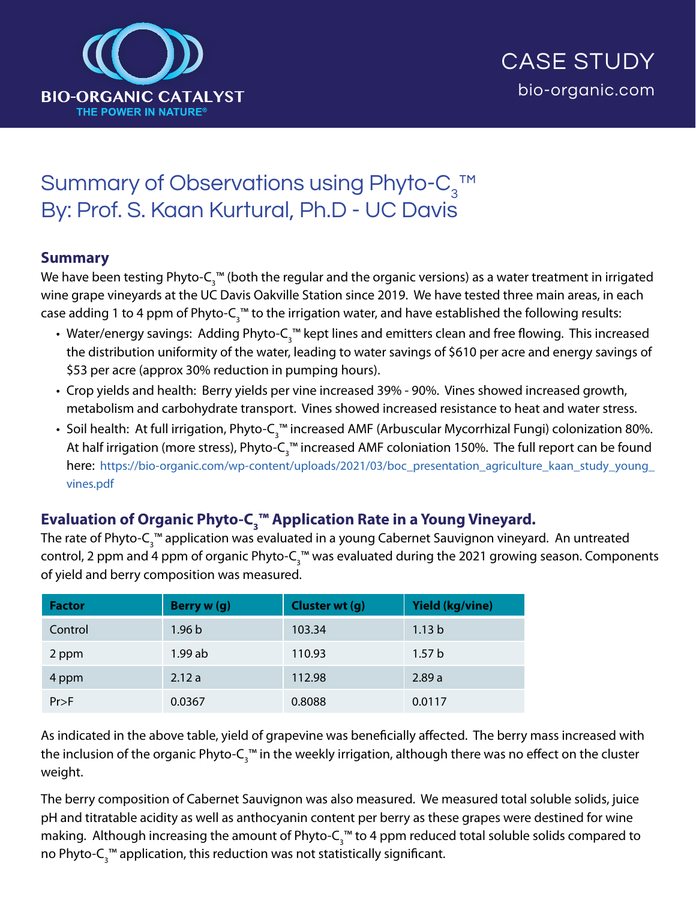

# Summary of Observations using Phyto- $\textsf{C}_3^{\sf TM}$ By: Prof. S. Kaan Kurtural, Ph.D - UC Davis

### **Summary**

We have been testing Phyto-C $_3^{\sf \tiny TM}$  (both the regular and the organic versions) as a water treatment in irrigated wine grape vineyards at the UC Davis Oakville Station since 2019. We have tested three main areas, in each case adding 1 to 4 ppm of Phyto-C<sub>3</sub>™ to the irrigation water, and have established the following results:

- Water/energy savings: Adding Phyto-C<sub>3</sub><sup>m</sup> kept lines and emitters clean and free flowing. This increased the distribution uniformity of the water, leading to water savings of \$610 per acre and energy savings of \$53 per acre (approx 30% reduction in pumping hours).
- Crop yields and health: Berry yields per vine increased 39% 90%. Vines showed increased growth, metabolism and carbohydrate transport. Vines showed increased resistance to heat and water stress.
- Soil health: At full irrigation, Phyto-C $_3^{\text{\tiny TM}}$  increased AMF (Arbuscular Mycorrhizal Fungi) colonization 80%. At half irrigation (more stress), <code>Phyto-C $\frac{}{\scriptstyle 3}$ ™</code> increased AMF coloniation 150%. The full report can be found here: [https://bio-organic.com/wp-content/uploads/2021/03/boc\\_presentation\\_agriculture\\_kaan\\_study\\_young\\_](https://bio-organic.com/wp-content/uploads/2021/03/boc_presentation_agriculture_kaan_study_young_vines.pdf) [vines.pdf](https://bio-organic.com/wp-content/uploads/2021/03/boc_presentation_agriculture_kaan_study_young_vines.pdf)

### **Evaluation of Organic Phyto-C3 ™ Application Rate in a Young Vineyard.**

The rate of Phyto-C $_3^{\sf \tiny TM}$  application was evaluated in a young Cabernet Sauvignon vineyard. An untreated control, 2 ppm and 4 ppm of organic Phyto-C,  $\scriptstyle\rm{^m}$  was evaluated during the 2021 growing season. Components of yield and berry composition was measured.

| <b>Factor</b> | Berry w (g)       | Cluster wt (g) | <b>Yield (kg/vine)</b> |
|---------------|-------------------|----------------|------------------------|
| Control       | 1.96 <sub>b</sub> | 103.34         | 1.13 <sub>b</sub>      |
| 2 ppm         | 1.99ab            | 110.93         | 1.57 <sub>b</sub>      |
| 4 ppm         | 2.12a             | 112.98         | 2.89a                  |
| Pr>F          | 0.0367            | 0.8088         | 0.0117                 |

As indicated in the above table, yield of grapevine was beneficially affected. The berry mass increased with the inclusion of the organic Phyto-C $_3^{\sf{\tiny TM}}$  in the weekly irrigation, although there was no effect on the cluster weight.

The berry composition of Cabernet Sauvignon was also measured. We measured total soluble solids, juice pH and titratable acidity as well as anthocyanin content per berry as these grapes were destined for wine making. Although increasing the amount of Phyto-C<sub>3</sub>™ to 4 ppm reduced total soluble solids compared to no Phyto- $\mathsf{C}_{_3}^{\pi_{\mathsf{M}}}$  application, this reduction was not statistically significant.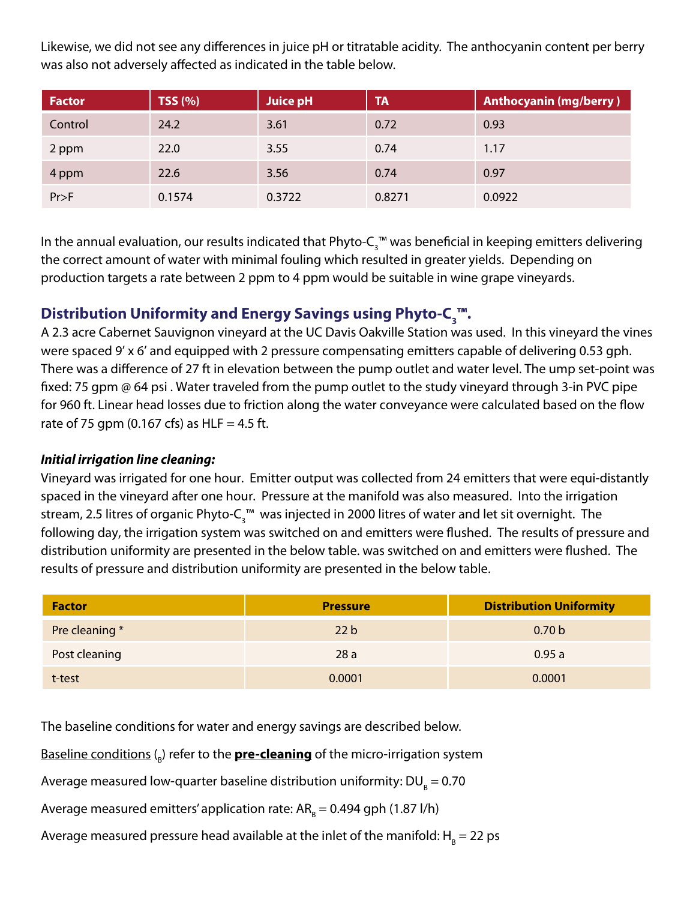Likewise, we did not see any differences in juice pH or titratable acidity. The anthocyanin content per berry was also not adversely affected as indicated in the table below.

| <b>Factor</b> | TSS(%) | <b>Juice pH</b> | <b>TA</b> | <b>Anthocyanin (mg/berry)</b> |
|---------------|--------|-----------------|-----------|-------------------------------|
| Control       | 24.2   | 3.61            | 0.72      | 0.93                          |
| 2 ppm         | 22.0   | 3.55            | 0.74      | 1.17                          |
| 4 ppm         | 22.6   | 3.56            | 0.74      | 0.97                          |
| Pr>F          | 0.1574 | 0.3722          | 0.8271    | 0.0922                        |

In the annual evaluation, our results indicated that Phyto-C $_3^{\text{\tiny TM}}$  was beneficial in keeping emitters delivering the correct amount of water with minimal fouling which resulted in greater yields. Depending on production targets a rate between 2 ppm to 4 ppm would be suitable in wine grape vineyards.

## **Distribution Uniformity and Energy Savings using Phyto-C3 ™.**

A 2.3 acre Cabernet Sauvignon vineyard at the UC Davis Oakville Station was used. In this vineyard the vines were spaced 9' x 6' and equipped with 2 pressure compensating emitters capable of delivering 0.53 gph. There was a difference of 27 ft in elevation between the pump outlet and water level. The ump set-point was fixed: 75 gpm @ 64 psi . Water traveled from the pump outlet to the study vineyard through 3-in PVC pipe for 960 ft. Linear head losses due to friction along the water conveyance were calculated based on the flow rate of 75 gpm (0.167 cfs) as HLF = 4.5 ft.

#### *Initial irrigation line cleaning:*

Vineyard was irrigated for one hour. Emitter output was collected from 24 emitters that were equi-distantly spaced in the vineyard after one hour. Pressure at the manifold was also measured. Into the irrigation stream, 2.5 litres of organic Phyto-C $_3^{\text{\tiny TM}}$  was injected in 2000 litres of water and let sit overnight. The following day, the irrigation system was switched on and emitters were flushed. The results of pressure and distribution uniformity are presented in the below table. was switched on and emitters were flushed. The results of pressure and distribution uniformity are presented in the below table.

| <b>Factor</b>  | <b>Pressure</b> | <b>Distribution Uniformity</b> |
|----------------|-----------------|--------------------------------|
| Pre cleaning * | 22 b            | 0.70 <sub>b</sub>              |
| Post cleaning  | 28a             | 0.95a                          |
| t-test         | 0.0001          | 0.0001                         |

The baseline conditions for water and energy savings are described below.

Baseline conditions (B ) refer to the **pre-cleaning** of the micro-irrigation system

Average measured low-quarter baseline distribution uniformity: DU $_{_{\mathrm{B}}}\!=$  0.70

Average measured emitters' application rate:  $AR_{\rm g}$  = 0.494 gph (1.87 l/h)

Average measured pressure head available at the inlet of the manifold:  ${\sf H}_{_{\sf B}}$  = 22 ps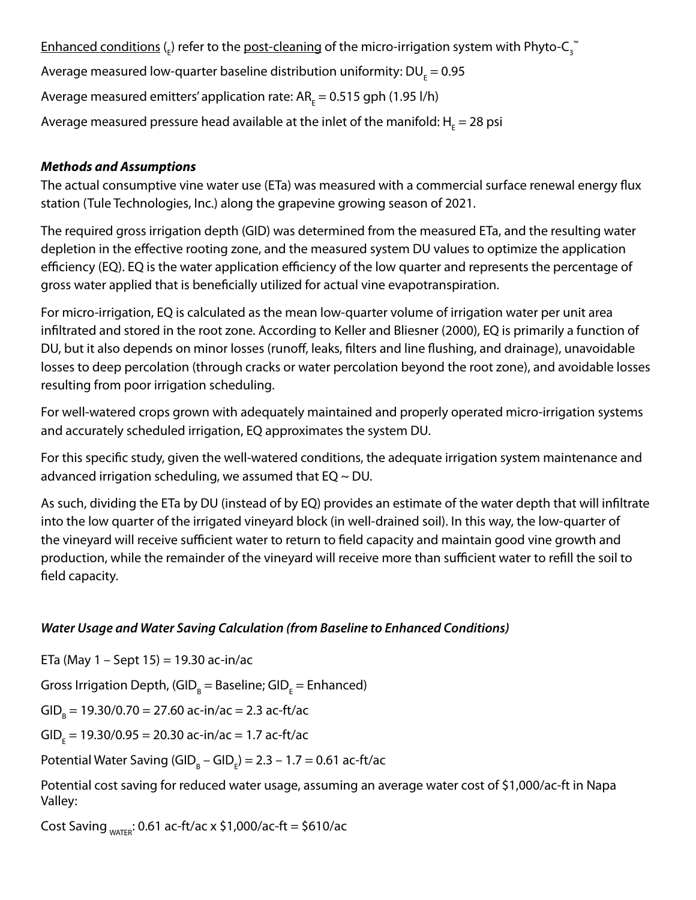<u>Enhanced conditions</u> (<sub>E</sub>) refer to the <u>post-cleaning</u> of the micro-irrigation system with Phyto-C $\frac{1}{3}$ Average measured low-quarter baseline distribution uniformity: DU $_{\rm E}$  = 0.95 Average measured emitters' application rate: AR $_{\rm E}$  = 0.515 gph (1.95 l/h) Average measured pressure head available at the inlet of the manifold:  $\mathsf{H}_{_{\mathrm{E}}}$  = 28 psi

#### *Methods and Assumptions*

The actual consumptive vine water use (ETa) was measured with a commercial surface renewal energy flux station (Tule Technologies, Inc.) along the grapevine growing season of 2021.

The required gross irrigation depth (GID) was determined from the measured ETa, and the resulting water depletion in the effective rooting zone, and the measured system DU values to optimize the application efficiency (EQ). EQ is the water application efficiency of the low quarter and represents the percentage of gross water applied that is beneficially utilized for actual vine evapotranspiration.

For micro-irrigation, EQ is calculated as the mean low-quarter volume of irrigation water per unit area infiltrated and stored in the root zone. According to Keller and Bliesner (2000), EQ is primarily a function of DU, but it also depends on minor losses (runoff, leaks, filters and line flushing, and drainage), unavoidable losses to deep percolation (through cracks or water percolation beyond the root zone), and avoidable losses resulting from poor irrigation scheduling.

For well-watered crops grown with adequately maintained and properly operated micro-irrigation systems and accurately scheduled irrigation, EQ approximates the system DU.

For this specific study, given the well-watered conditions, the adequate irrigation system maintenance and advanced irrigation scheduling, we assumed that  $EQ \sim DU$ .

As such, dividing the ETa by DU (instead of by EQ) provides an estimate of the water depth that will infiltrate into the low quarter of the irrigated vineyard block (in well-drained soil). In this way, the low-quarter of the vineyard will receive sufficient water to return to field capacity and maintain good vine growth and production, while the remainder of the vineyard will receive more than sufficient water to refill the soil to field capacity.

#### *Water Usage and Water Saving Calculation (from Baseline to Enhanced Conditions)*

ETa (May  $1 -$  Sept  $15$ ) = 19.30 ac-in/ac

Gross Irrigation Depth, (GID<sub>B</sub> = Baseline; GID<sub>E</sub> = Enhanced)

GID $_{\rm B}$  = 19.30/0.70 = 27.60 ac-in/ac = 2.3 ac-ft/ac

GID<sub>E</sub> = 19.30/0.95 = 20.30 ac-in/ac = 1.7 ac-ft/ac

Potential Water Saving (GID<sub>B</sub> – GID<sub>E</sub>) = 2.3 – 1.7 = 0.61 ac-ft/ac

Potential cost saving for reduced water usage, assuming an average water cost of \$1,000/ac-ft in Napa Valley:

Cost Saving  $_{\text{WATER}}$ : 0.61 ac-ft/ac x \$1,000/ac-ft = \$610/ac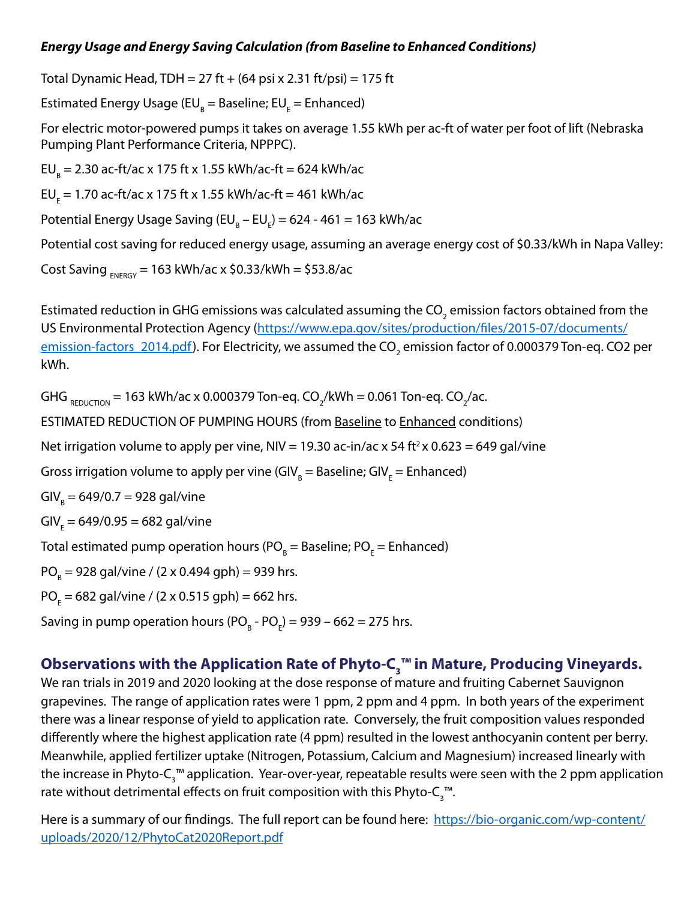#### *Energy Usage and Energy Saving Calculation (from Baseline to Enhanced Conditions)*

Total Dynamic Head, TDH = 27 ft +  $(64 \text{ psi} \times 2.31 \text{ ft} / \text{psi}) = 175 \text{ ft}$ 

Estimated Energy Usage (EU $_{_{\mathrm{B}}}$  = Baseline; EU $_{_{\mathrm{E}}}$  = Enhanced)

For electric motor-powered pumps it takes on average 1.55 kWh per ac-ft of water per foot of lift (Nebraska Pumping Plant Performance Criteria, NPPPC).

 $\mathsf{EU}_\mathsf{B}^{} = 2.30$  ac-ft/ac x 175 ft x 1.55 kWh/ac-ft = 624 kWh/ac

 $\mathsf{EU}_{\mathsf{E}} = 1.70$  ac-ft/ac x 175 ft x 1.55 kWh/ac-ft = 461 kWh/ac

Potential Energy Usage Saving (EU $_{_{\mathrm{B}}}$  – EU $_{_{\mathrm{E}}}$ ) = 624 - 461 = 163 kWh/ac

Potential cost saving for reduced energy usage, assuming an average energy cost of \$0.33/kWh in Napa Valley:

Cost Saving  $_{ENERC}$  = 163 kWh/ac x \$0.33/kWh = \$53.8/ac

Estimated reduction in GHG emissions was calculated assuming the CO $_{\textrm{\tiny{2}}}$  emission factors obtained from the US Environmental Protection Agency [\(https://www.epa.gov/sites/production/files/2015-07/documents/](https://www.epa.gov/sites/production/files/2015-07/documents/emission-factors_2014.pdf) <u>emission-factors  $\,$  2014.pdf</u>). For Electricity, we assumed the CO $_2$  emission factor of 0.000379 Ton-eq. CO2 per kWh.

GHG  $_{\tt REDUCTION}$  = 163 kWh/ac x 0.000379 Ton-eq. CO $_{\tt 2}$ /kWh = 0.061 Ton-eq. CO $_{\tt 2}$ /ac.

ESTIMATED REDUCTION OF PUMPING HOURS (from Baseline to Enhanced conditions)

Net irrigation volume to apply per vine, NIV = 19.30 ac-in/ac x 54 ft<sup>2</sup> x 0.623 = 649 gal/vine

Gross irrigation volume to apply per vine (GIV $_{_{\rm B}}$  = Baseline; GIV $_{_{\rm E}}$  = Enhanced)

 $\textsf{GIV}_{_{\textsf{B}}}$  = 649/0.7 = 928 gal/vine

 $\textsf{GIV}_{\textsf{E}}$  = 649/0.95 = 682 gal/vine

Total estimated pump operation hours (PO $_{_{\rm B}}$  = Baseline; PO $_{_{\rm E}}$  = Enhanced)

 $P\textsf{O}_{_{\textsf{B}}} =$  928 gal/vine / (2 x 0.494 gph) = 939 hrs.

 $PO_{E} = 682$  gal/vine / (2 x 0.515 gph) = 662 hrs.

Saving in pump operation hours (PO<sub>B</sub> - PO<sub>E</sub>) = 939 – 662 = 275 hrs.

## **Observations with the Application Rate of Phyto-C3 ™ in Mature, Producing Vineyards.**

We ran trials in 2019 and 2020 looking at the dose response of mature and fruiting Cabernet Sauvignon grapevines. The range of application rates were 1 ppm, 2 ppm and 4 ppm. In both years of the experiment there was a linear response of yield to application rate. Conversely, the fruit composition values responded differently where the highest application rate (4 ppm) resulted in the lowest anthocyanin content per berry. Meanwhile, applied fertilizer uptake (Nitrogen, Potassium, Calcium and Magnesium) increased linearly with the increase in Phyto-C,  $^{\text{\tiny{\textsf{TM}}}}$  application. Year-over-year, repeatable results were seen with the 2 ppm application rate without detrimental effects on fruit composition with this Phyto- $\mathsf{C}_{_{3}}$ ™.

Here is a summary of our findings. The full report can be found here: [https://bio-organic.com/wp-content/](https://bio-organic.com/wp-content/uploads/2020/12/PhytoCat2020Report.pdf) [uploads/2020/12/PhytoCat2020Report.pdf](https://bio-organic.com/wp-content/uploads/2020/12/PhytoCat2020Report.pdf)